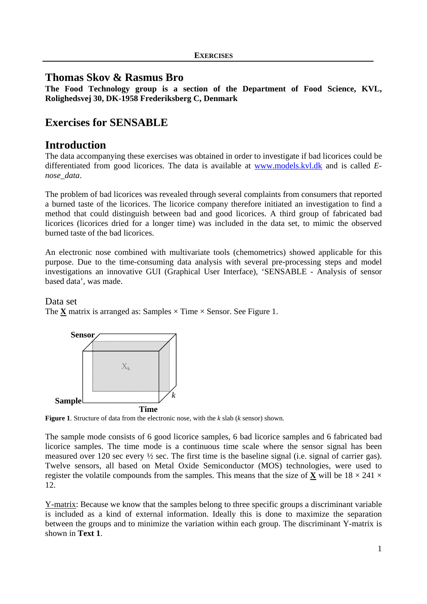# **Thomas Skov & Rasmus Bro**

**The Food Technology group is a section of the Department of Food Science, KVL, Rolighedsvej 30, DK-1958 Frederiksberg C, Denmark** 

# **Exercises for SENSABLE**

# **Introduction**

The data accompanying these exercises was obtained in order to investigate if bad licorices could be differentiated from good licorices. The data is available at www.models.kvl.dk and is called *Enose\_data*.

The problem of bad licorices was revealed through several complaints from consumers that reported a burned taste of the licorices. The licorice company therefore initiated an investigation to find a method that could distinguish between bad and good licorices. A third group of fabricated bad licorices (licorices dried for a longer time) was included in the data set, to mimic the observed burned taste of the bad licorices.

An electronic nose combined with multivariate tools (chemometrics) showed applicable for this purpose. Due to the time-consuming data analysis with several pre-processing steps and model investigations an innovative GUI (Graphical User Interface), 'SENSABLE - Analysis of sensor based data', was made.

# Data set

The **X** matrix is arranged as: Samples  $\times$  Time  $\times$  Sensor. See Figure 1.



**Figure 1**. Structure of data from the electronic nose, with the *k* slab (*k* sensor) shown.

The sample mode consists of 6 good licorice samples, 6 bad licorice samples and 6 fabricated bad licorice samples. The time mode is a continuous time scale where the sensor signal has been measured over 120 sec every ½ sec. The first time is the baseline signal (i.e. signal of carrier gas). Twelve sensors, all based on Metal Oxide Semiconductor (MOS) technologies, were used to register the volatile compounds from the samples. This means that the size of **X** will be  $18 \times 241 \times$ 12.

Y-matrix: Because we know that the samples belong to three specific groups a discriminant variable is included as a kind of external information. Ideally this is done to maximize the separation between the groups and to minimize the variation within each group. The discriminant Y-matrix is shown in **Text 1**.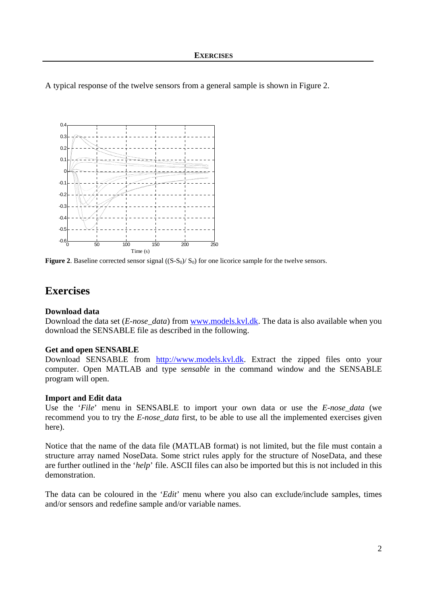A typical response of the twelve sensors from a general sample is shown in Figure 2.



**Figure 2.** Baseline corrected sensor signal  $((S-S<sub>0</sub>)/S<sub>0</sub>)$  for one licorice sample for the twelve sensors.

# **Exercises**

### **Download data**

Download the data set (*E-nose\_data*) from www.models.kvl.dk. The data is also available when you download the SENSABLE file as described in the following.

### **Get and open SENSABLE**

Download SENSABLE from http://www.models.kvl.dk. Extract the zipped files onto your computer. Open MATLAB and type *sensable* in the command window and the SENSABLE program will open.

### **Import and Edit data**

Use the '*File*' menu in SENSABLE to import your own data or use the *E-nose\_data* (we recommend you to try the *E-nose\_data* first, to be able to use all the implemented exercises given here).

Notice that the name of the data file (MATLAB format) is not limited, but the file must contain a structure array named NoseData. Some strict rules apply for the structure of NoseData, and these are further outlined in the '*help*' file. ASCII files can also be imported but this is not included in this demonstration.

The data can be coloured in the '*Edit*' menu where you also can exclude/include samples, times and/or sensors and redefine sample and/or variable names.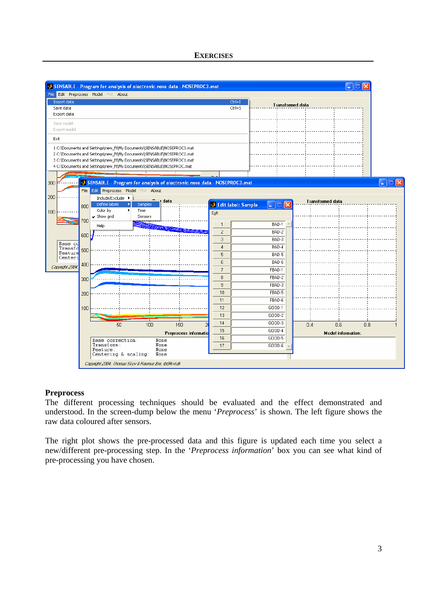

### **Preprocess**

The different processing techniques should be evaluated and the effect demonstrated and understood. In the screen-dump below the menu '*Preprocess*' is shown. The left figure shows the raw data coloured after sensors.

The right plot shows the pre-processed data and this figure is updated each time you select a new/different pre-processing step. In the '*Preprocess information*' box you can see what kind of pre-processing you have chosen.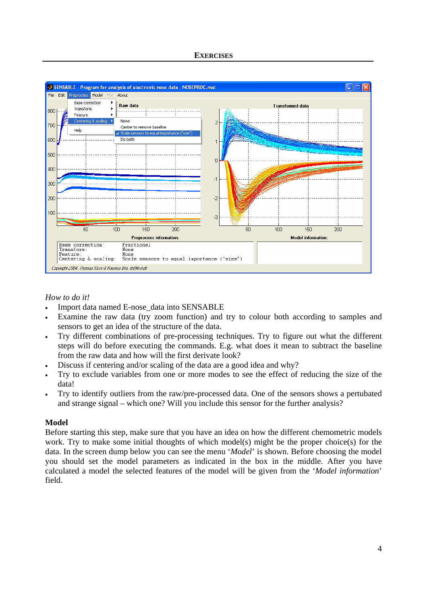

## *How to do it!*

- Import data named E-nose\_data into SENSABLE
- Examine the raw data (try zoom function) and try to colour both according to samples and sensors to get an idea of the structure of the data.
- Try different combinations of pre-processing techniques. Try to figure out what the different steps will do before executing the commands. E.g. what does it mean to subtract the baseline from the raw data and how will the first derivate look?
- Discuss if centering and/or scaling of the data are a good idea and why?
- Try to exclude variables from one or more modes to see the effect of reducing the size of the data!
- Try to identify outliers from the raw/pre-processed data. One of the sensors shows a pertubated and strange signal – which one? Will you include this sensor for the further analysis?

### **Model**

Before starting this step, make sure that you have an idea on how the different chemometric models work. Try to make some initial thoughts of which model(s) might be the proper choice(s) for the data. In the screen dump below you can see the menu '*Model*' is shown. Before choosing the model you should set the model parameters as indicated in the box in the middle. After you have calculated a model the selected features of the model will be given from the '*Model information*' field.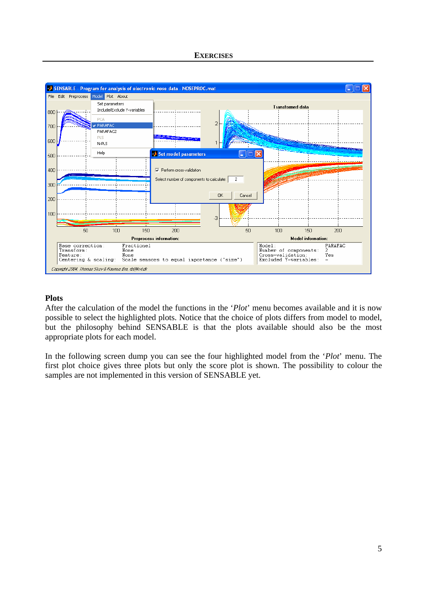

## **Plots**

After the calculation of the model the functions in the '*Plot*' menu becomes available and it is now possible to select the highlighted plots. Notice that the choice of plots differs from model to model, but the philosophy behind SENSABLE is that the plots available should also be the most appropriate plots for each model.

In the following screen dump you can see the four highlighted model from the '*Plot*' menu. The first plot choice gives three plots but only the score plot is shown. The possibility to colour the samples are not implemented in this version of SENSABLE yet.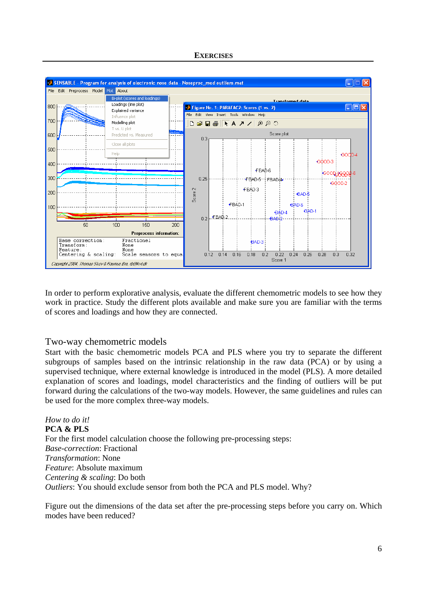

In order to perform explorative analysis, evaluate the different chemometric models to see how they work in practice. Study the different plots available and make sure you are familiar with the terms of scores and loadings and how they are connected.

# Two-way chemometric models

Start with the basic chemometric models PCA and PLS where you try to separate the different subgroups of samples based on the intrinsic relationship in the raw data (PCA) or by using a supervised technique, where external knowledge is introduced in the model (PLS). A more detailed explanation of scores and loadings, model characteristics and the finding of outliers will be put forward during the calculations of the two-way models. However, the same guidelines and rules can be used for the more complex three-way models.

*How to do it!*  **PCA & PLS**  For the first model calculation choose the following pre-processing steps: *Base-correction*: Fractional *Transformation*: None *Feature*: Absolute maximum *Centering & scaling*: Do both *Outliers*: You should exclude sensor from both the PCA and PLS model. Why?

Figure out the dimensions of the data set after the pre-processing steps before you carry on. Which modes have been reduced?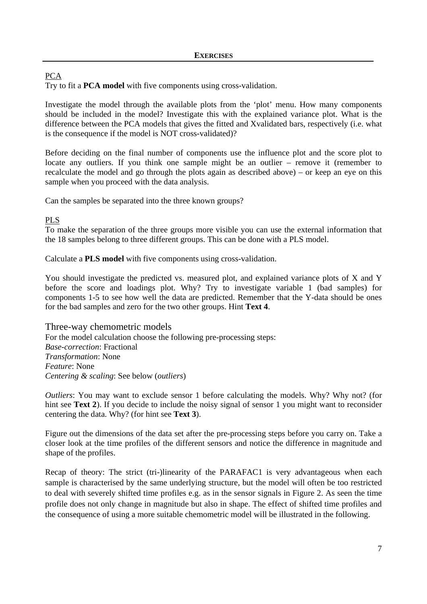# PCA

Try to fit a **PCA model** with five components using cross-validation.

Investigate the model through the available plots from the 'plot' menu. How many components should be included in the model? Investigate this with the explained variance plot. What is the difference between the PCA models that gives the fitted and Xvalidated bars, respectively (i.e. what is the consequence if the model is NOT cross-validated)?

Before deciding on the final number of components use the influence plot and the score plot to locate any outliers. If you think one sample might be an outlier – remove it (remember to recalculate the model and go through the plots again as described above) – or keep an eye on this sample when you proceed with the data analysis.

Can the samples be separated into the three known groups?

## PLS

To make the separation of the three groups more visible you can use the external information that the 18 samples belong to three different groups. This can be done with a PLS model.

Calculate a **PLS model** with five components using cross-validation.

You should investigate the predicted vs. measured plot, and explained variance plots of X and Y before the score and loadings plot. Why? Try to investigate variable 1 (bad samples) for components 1-5 to see how well the data are predicted. Remember that the Y-data should be ones for the bad samples and zero for the two other groups. Hint **Text 4**.

Three-way chemometric models For the model calculation choose the following pre-processing steps: *Base-correction*: Fractional *Transformation*: None *Feature*: None *Centering & scaling*: See below (*outliers*)

*Outliers*: You may want to exclude sensor 1 before calculating the models. Why? Why not? (for hint see **Text 2**). If you decide to include the noisy signal of sensor 1 you might want to reconsider centering the data. Why? (for hint see **Text 3**).

Figure out the dimensions of the data set after the pre-processing steps before you carry on. Take a closer look at the time profiles of the different sensors and notice the difference in magnitude and shape of the profiles.

Recap of theory: The strict (tri-)linearity of the PARAFAC1 is very advantageous when each sample is characterised by the same underlying structure, but the model will often be too restricted to deal with severely shifted time profiles e.g. as in the sensor signals in Figure 2. As seen the time profile does not only change in magnitude but also in shape. The effect of shifted time profiles and the consequence of using a more suitable chemometric model will be illustrated in the following.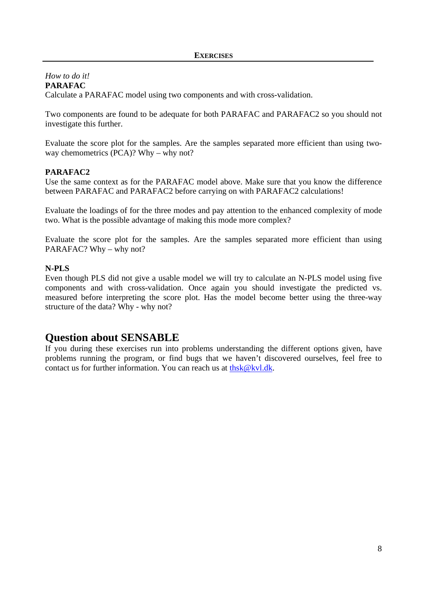*How to do it!*  **PARAFAC**  Calculate a PARAFAC model using two components and with cross-validation.

Two components are found to be adequate for both PARAFAC and PARAFAC2 so you should not investigate this further.

Evaluate the score plot for the samples. Are the samples separated more efficient than using twoway chemometrics (PCA)? Why – why not?

# **PARAFAC2**

Use the same context as for the PARAFAC model above. Make sure that you know the difference between PARAFAC and PARAFAC2 before carrying on with PARAFAC2 calculations!

Evaluate the loadings of for the three modes and pay attention to the enhanced complexity of mode two. What is the possible advantage of making this mode more complex?

Evaluate the score plot for the samples. Are the samples separated more efficient than using PARAFAC? Why – why not?

### **N-PLS**

Even though PLS did not give a usable model we will try to calculate an N-PLS model using five components and with cross-validation. Once again you should investigate the predicted vs. measured before interpreting the score plot. Has the model become better using the three-way structure of the data? Why - why not?

# **Question about SENSABLE**

If you during these exercises run into problems understanding the different options given, have problems running the program, or find bugs that we haven't discovered ourselves, feel free to contact us for further information. You can reach us at thsk@kvl.dk.